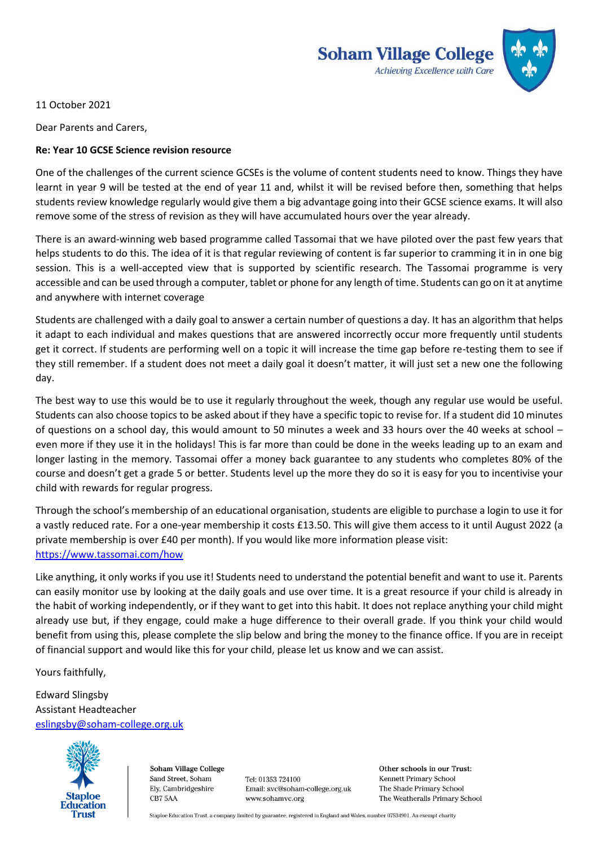

11 October 2021

Dear Parents and Carers,

## **Re: Year 10 GCSE Science revision resource**

One of the challenges of the current science GCSEs is the volume of content students need to know. Things they have learnt in year 9 will be tested at the end of year 11 and, whilst it will be revised before then, something that helps students review knowledge regularly would give them a big advantage going into their GCSE science exams. It will also remove some of the stress of revision as they will have accumulated hours over the year already.

There is an award-winning web based programme called Tassomai that we have piloted over the past few years that helps students to do this. The idea of it is that regular reviewing of content is far superior to cramming it in in one big session. This is a well-accepted view that is supported by scientific research. The Tassomai programme is very accessible and can be used through a computer, tablet or phone for any length of time. Students can go on it at anytime and anywhere with internet coverage

Students are challenged with a daily goal to answer a certain number of questions a day. It has an algorithm that helps it adapt to each individual and makes questions that are answered incorrectly occur more frequently until students get it correct. If students are performing well on a topic it will increase the time gap before re-testing them to see if they still remember. If a student does not meet a daily goal it doesn't matter, it will just set a new one the following day.

The best way to use this would be to use it regularly throughout the week, though any regular use would be useful. Students can also choose topics to be asked about if they have a specific topic to revise for. If a student did 10 minutes of questions on a school day, this would amount to 50 minutes a week and 33 hours over the 40 weeks at school – even more if they use it in the holidays! This is far more than could be done in the weeks leading up to an exam and longer lasting in the memory. Tassomai offer a money back guarantee to any students who completes 80% of the course and doesn't get a grade 5 or better. Students level up the more they do so it is easy for you to incentivise your child with rewards for regular progress.

Through the school's membership of an educational organisation, students are eligible to purchase a login to use it for a vastly reduced rate. For a one-year membership it costs £13.50. This will give them access to it until August 2022 (a private membership is over £40 per month). If you would like more information please visit: <https://www.tassomai.com/how>

Like anything, it only works if you use it! Students need to understand the potential benefit and want to use it. Parents can easily monitor use by looking at the daily goals and use over time. It is a great resource if your child is already in the habit of working independently, or if they want to get into this habit. It does not replace anything your child might already use but, if they engage, could make a huge difference to their overall grade. If you think your child would benefit from using this, please complete the slip below and bring the money to the finance office. If you are in receipt of financial support and would like this for your child, please let us know and we can assist.

Yours faithfully,

Edward Slingsby Assistant Headteacher [eslingsby@soham-college.org.uk](mailto:eslingsby@soham-college.org.uk)



Soham Village College Sand Street, Soham Ely, Cambridgeshire CB7 5AA

Tel: 01353 724100 Email: svc@soham-college.org.uk www.sohamvc.org

Other schools in our Trust: Kennett Primary School The Shade Primary School The Weatheralls Primary School

Staploe Education Trust, a company limited by guarantee, registered in England and Wales, number 07534901. An exempt charity